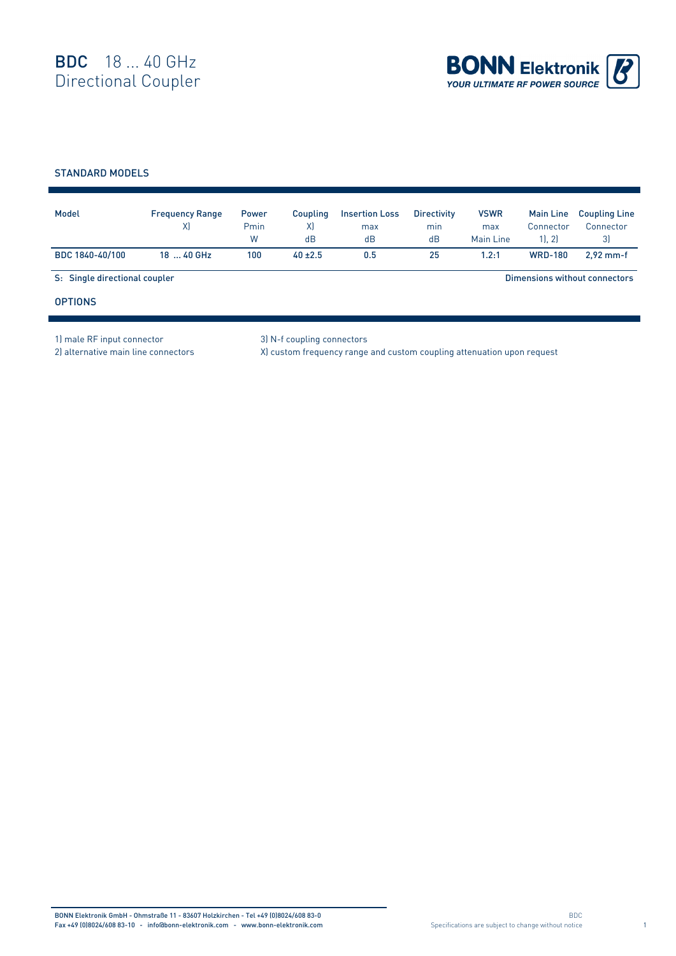

## STANDARD MODELS

| Model                         | <b>Frequency Range</b><br>X) | Power<br>Pmin<br>W | Coupling<br>X)<br>dB | <b>Insertion Loss</b><br>max<br>dB | <b>Directivity</b><br>min<br>dB | <b>VSWR</b><br>max<br>Main Line | <b>Main Line</b><br>Connector<br>11.21 | <b>Coupling Line</b><br>Connector<br>3) |  |
|-------------------------------|------------------------------|--------------------|----------------------|------------------------------------|---------------------------------|---------------------------------|----------------------------------------|-----------------------------------------|--|
| BDC 1840-40/100               | 18  40 GHz                   | 100                | $40 \pm 2.5$         | 0.5                                | 25                              | 1.2:1                           | <b>WRD-180</b>                         | $2.92$ mm-f                             |  |
| S: Single directional coupler |                              |                    |                      |                                    |                                 | Dimensions without connectors   |                                        |                                         |  |
| <b>OPTIONS</b>                |                              |                    |                      |                                    |                                 |                                 |                                        |                                         |  |

1) male RF input connector 3) N-f coupling connectors

2) alternative main line connectors X) custom frequency range and custom coupling attenuation upon request